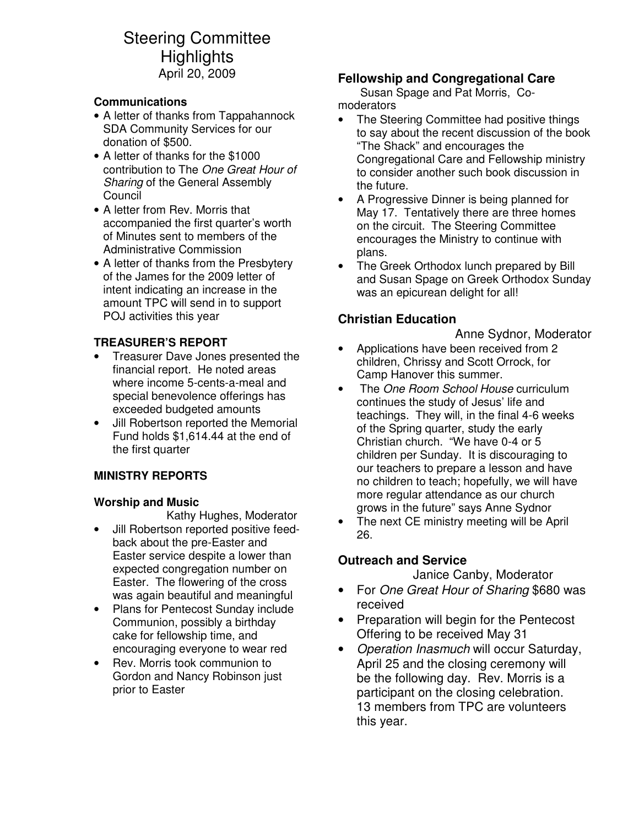# Steering Committee **Highlights** April 20, 2009

#### **Communications**

- A letter of thanks from Tappahannock SDA Community Services for our donation of \$500.
- A letter of thanks for the \$1000 contribution to The One Great Hour of Sharing of the General Assembly **Council**
- A letter from Rev. Morris that accompanied the first quarter's worth of Minutes sent to members of the Administrative Commission
- A letter of thanks from the Presbytery of the James for the 2009 letter of intent indicating an increase in the amount TPC will send in to support POJ activities this year

#### **TREASURER'S REPORT**

- Treasurer Dave Jones presented the financial report. He noted areas where income 5-cents-a-meal and special benevolence offerings has exceeded budgeted amounts
- Jill Robertson reported the Memorial Fund holds \$1,614.44 at the end of the first quarter

#### **MINISTRY REPORTS**

#### **Worship and Music**

Kathy Hughes, Moderator

- Jill Robertson reported positive feedback about the pre-Easter and Easter service despite a lower than expected congregation number on Easter. The flowering of the cross was again beautiful and meaningful
- Plans for Pentecost Sunday include Communion, possibly a birthday cake for fellowship time, and encouraging everyone to wear red
- Rev. Morris took communion to Gordon and Nancy Robinson just prior to Easter

### **Fellowship and Congregational Care**

Susan Spage and Pat Morris, Comoderators

- The Steering Committee had positive things to say about the recent discussion of the book "The Shack" and encourages the Congregational Care and Fellowship ministry to consider another such book discussion in the future.
- A Progressive Dinner is being planned for May 17. Tentatively there are three homes on the circuit. The Steering Committee encourages the Ministry to continue with plans.
- The Greek Orthodox lunch prepared by Bill and Susan Spage on Greek Orthodox Sunday was an epicurean delight for all!

## **Christian Education**

Anne Sydnor, Moderator

- Applications have been received from 2 children, Chrissy and Scott Orrock, for Camp Hanover this summer.
- The *One Room School House* curriculum continues the study of Jesus' life and teachings. They will, in the final 4-6 weeks of the Spring quarter, study the early Christian church. "We have 0-4 or 5 children per Sunday. It is discouraging to our teachers to prepare a lesson and have no children to teach; hopefully, we will have more regular attendance as our church grows in the future" says Anne Sydnor
- The next CE ministry meeting will be April 26.

#### **Outreach and Service**

Janice Canby, Moderator

- For One Great Hour of Sharing \$680 was received
- Preparation will begin for the Pentecost Offering to be received May 31
- Operation Inasmuch will occur Saturday, April 25 and the closing ceremony will be the following day. Rev. Morris is a participant on the closing celebration. 13 members from TPC are volunteers this year.